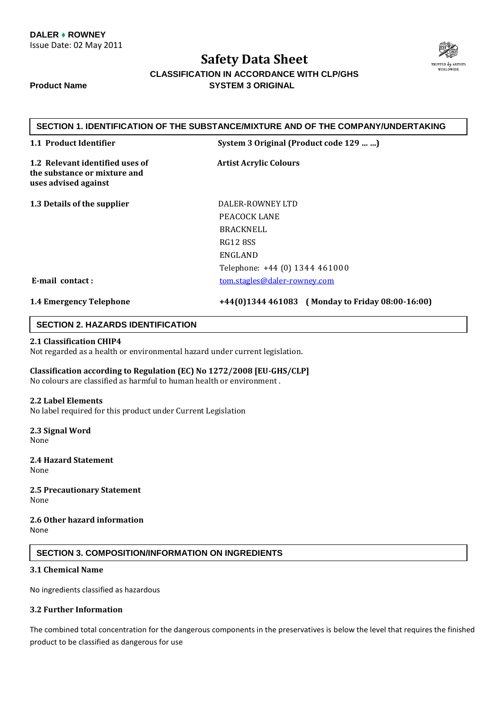

### **CLASSIFICATION IN ACCORDANCE WITH CLP/GHS Product Name SYSTEM 3 ORIGINAL**

### **SECTION 1. IDENTIFICATION OF THE SUBSTANCE/MIXTURE AND OF THE COMPANY/UNDERTAKING**

|  | 1.1 Product Identifier |
|--|------------------------|
|  |                        |

**1.1 Product Identifier System 3 Original (Product code 129 … …)**

1.2 Relevant identified uses of **Artist Acrylic Colours the substance or mixture and uses advised against**

**1.3 Details of the supplier**  DALER-ROWNEY LTD

 PEACOCK LANE BRACKNELL RG12 8SS ENGLAND Telephone: +44 (0) 1344 461000 **E-mail contact :** tom.stagles@daler-rowney.com

**1.4 Emergency Telephone +44(0)1344 461083 ( Monday to Friday 08:00-16:00)**

### **SECTION 2. HAZARDS IDENTIFICATION**

### **2.1 Classification CHIP4**

Not regarded as a health or environmental hazard under current legislation.

**Classification according to Regulation (EC) No 1272/2008 [EU-GHS/CLP]**  No colours are classified as harmful to human health or environment .

### **2.2 Label Elements**

No label required for this product under Current Legislation

**2.3 Signal Word**  None

**2.4 Hazard Statement**  None

**2.5 Precautionary Statement**  None

**2.6 Other hazard information**  None

### **SECTION 3. COMPOSITION/INFORMATION ON INGREDIENTS**

### **3.1 Chemical Name**

No ingredients classified as hazardous

### **3.2 Further Information**

The combined total concentration for the dangerous components in the preservatives is below the level that requires the finished product to be classified as dangerous for use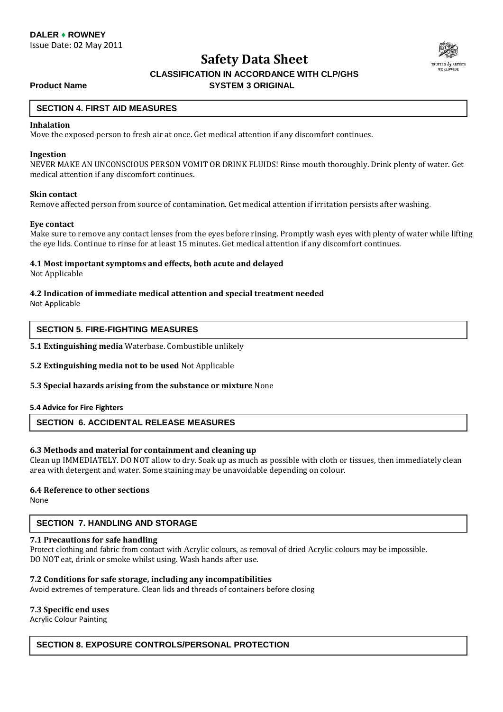

### **CLASSIFICATION IN ACCORDANCE WITH CLP/GHS Product Name SYSTEM 3 ORIGINAL**

### **SECTION 4. FIRST AID MEASURES**

### **Inhalation**

Move the exposed person to fresh air at once. Get medical attention if any discomfort continues.

#### **Ingestion**

NEVER MAKE AN UNCONSCIOUS PERSON VOMIT OR DRINK FLUIDS! Rinse mouth thoroughly. Drink plenty of water. Get medical attention if any discomfort continues.

### **Skin contact**

Remove affected person from source of contamination. Get medical attention if irritation persists after washing.

### **Eye contact**

Make sure to remove any contact lenses from the eyes before rinsing. Promptly wash eyes with plenty of water while lifting the eye lids. Continue to rinse for at least 15 minutes. Get medical attention if any discomfort continues.

### **4.1 Most important symptoms and effects, both acute and delayed**

Not Applicable

### **4.2 Indication of immediate medical attention and special treatment needed**

Not Applicable

### **SECTION 5. FIRE-FIGHTING MEASURES**

**5.1 Extinguishing media** Waterbase. Combustible unlikely

### **5.2 Extinguishing media not to be used** Not Applicable

### **5.3 Special hazards arising from the substance or mixture** None

### **5.4 Advice for Fire Fighters**

### **SECTION 6. ACCIDENTAL RELEASE MEASURES**

### **6.3 Methods and material for containment and cleaning up**

Clean up IMMEDIATELY. DO NOT allow to dry. Soak up as much as possible with cloth or tissues, then immediately clean area with detergent and water. Some staining may be unavoidable depending on colour.

### **6.4 Reference to other sections**

**None** 

### **SECTION 7. HANDLING AND STORAGE**

### **7.1 Precautions for safe handling**

Protect clothing and fabric from contact with Acrylic colours, as removal of dried Acrylic colours may be impossible. DO NOT eat, drink or smoke whilst using. Wash hands after use.

### **7.2 Conditions for safe storage, including any incompatibilities**

Avoid extremes of temperature. Clean lids and threads of containers before closing

### **7.3 Specific end uses**

Acrylic Colour Painting

### **SECTION 8. EXPOSURE CONTROLS/PERSONAL PROTECTION**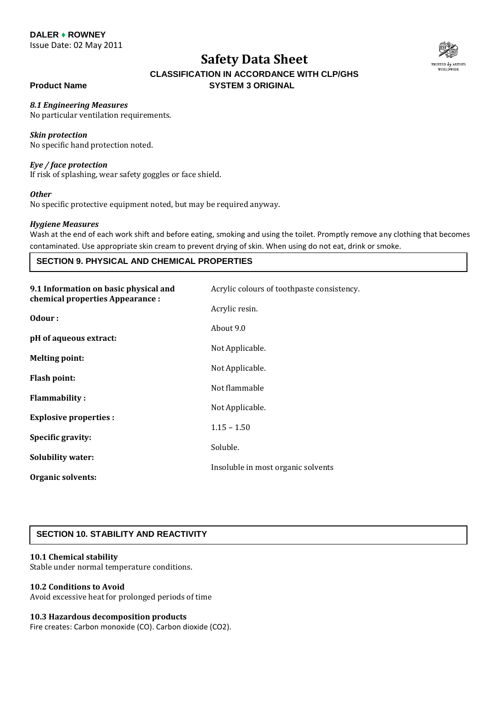**DALER ♦ ROWNEY**

Issue Date: 02 May 2011

## **Safety Data Sheet**



### **CLASSIFICATION IN ACCORDANCE WITH CLP/GHS Product Name SYSTEM 3 ORIGINAL**

*8.1 Engineering Measures* 

## No particular ventilation requirements.

### *Skin protection*

No specific hand protection noted.

### *Eye / face protection*

If risk of splashing, wear safety goggles or face shield.

### *Other*

No specific protective equipment noted, but may be required anyway.

### *Hygiene Measures*

Wash at the end of each work shift and before eating, smoking and using the toilet. Promptly remove any clothing that becomes contaminated. Use appropriate skin cream to prevent drying of skin. When using do not eat, drink or smoke.

### **SECTION 9. PHYSICAL AND CHEMICAL PROPERTIES**

| 9.1 Information on basic physical and<br>chemical properties Appearance : | Acrylic colours of toothpaste consistency. |
|---------------------------------------------------------------------------|--------------------------------------------|
|                                                                           | Acrylic resin.                             |
| Odour:                                                                    | About 9.0                                  |
| pH of aqueous extract:                                                    | Not Applicable.                            |
| <b>Melting point:</b>                                                     | Not Applicable.                            |
| <b>Flash point:</b>                                                       | Not flammable                              |
| <b>Flammability:</b>                                                      | Not Applicable.                            |
| <b>Explosive properties:</b>                                              | $1.15 - 1.50$                              |
| Specific gravity:                                                         |                                            |
|                                                                           | Soluble.                                   |
| <b>Solubility water:</b>                                                  | Insoluble in most organic solvents         |
| Organic solvents:                                                         |                                            |

### **SECTION 10. STABILITY AND REACTIVITY**

### **10.1 Chemical stability**

Stable under normal temperature conditions.

### **10.2 Conditions to Avoid**

Avoid excessive heat for prolonged periods of time

### **10.3 Hazardous decomposition products**

Fire creates: Carbon monoxide (CO). Carbon dioxide (CO2).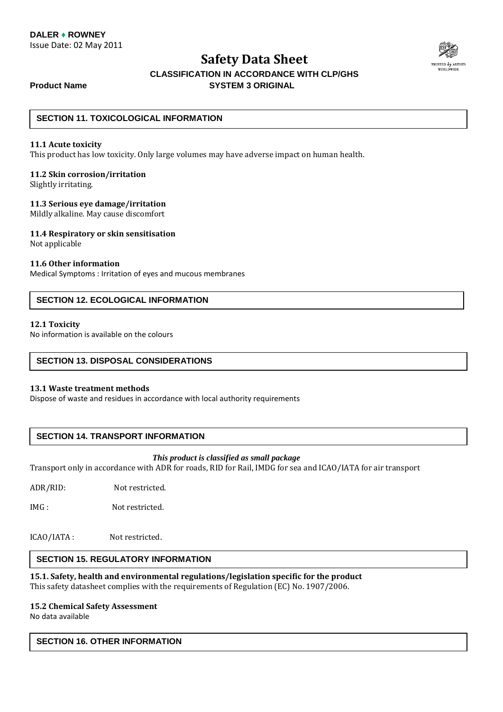

### **CLASSIFICATION IN ACCORDANCE WITH CLP/GHS Product Name SYSTEM 3 ORIGINAL**

### **SECTION 11. TOXICOLOGICAL INFORMATION**

### **11.1 Acute toxicity**

This product has low toxicity. Only large volumes may have adverse impact on human health.

### **11.2 Skin corrosion/irritation**

Slightly irritating.

### **11.3 Serious eye damage/irritation**

Mildly alkaline. May cause discomfort

### **11.4 Respiratory or skin sensitisation**

Not applicable

### **11.6 Other information**

Medical Symptoms : Irritation of eyes and mucous membranes

### **SECTION 12. ECOLOGICAL INFORMATION**

### **12.1 Toxicity**

No information is available on the colours

### **SECTION 13. DISPOSAL CONSIDERATIONS**

### **13.1 Waste treatment methods**

Dispose of waste and residues in accordance with local authority requirements

### **SECTION 14. TRANSPORT INFORMATION**

### *This product is classified as small package*

Transport only in accordance with ADR for roads, RID for Rail, IMDG for sea and ICAO/IATA for air transport

ADR/RID: Not restricted.

IMG : Not restricted.

ICAO/IATA : Not restricted.

### **SECTION 15. REGULATORY INFORMATION**

**15.1. Safety, health and environmental regulations/legislation specific for the product**  This safety datasheet complies with the requirements of Regulation (EC) No. 1907/2006.

### **15.2 Chemical Safety Assessment**

No data available

### **SECTION 16. OTHER INFORMATION**